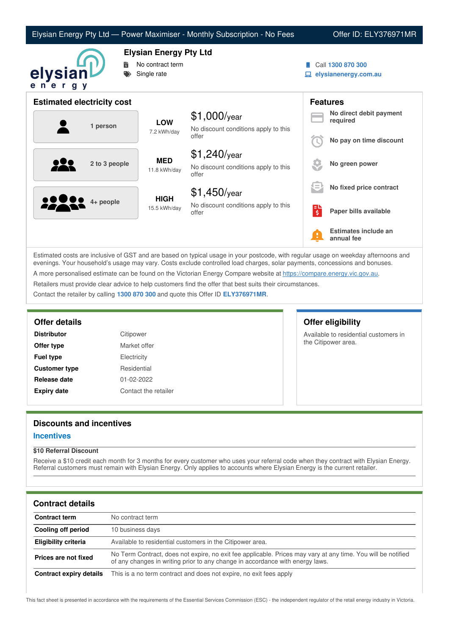| Elysian Energy Pty Ltd — Power Maximiser - Monthly Subscription - No Fees |  |  |  |
|---------------------------------------------------------------------------|--|--|--|
|---------------------------------------------------------------------------|--|--|--|

### Offer ID: ELY376971MR



# **Elysian Energy Pty Ltd**

- **No contract term**
- Single rate
- Call **1300 870 300**
- **elysianenergy.com.au**

| <b>Estimated electricity cost</b> |                             |                                                                 |    | <b>Features</b>                     |
|-----------------------------------|-----------------------------|-----------------------------------------------------------------|----|-------------------------------------|
| 1 person                          | <b>LOW</b>                  | $$1,000$ /year                                                  |    | No direct debit payment<br>required |
|                                   | 7.2 kWh/day                 | No discount conditions apply to this<br>offer                   |    | No pay on time discount             |
| 2 to 3 people                     | <b>MED</b><br>11.8 kWh/day  | $$1,240$ /year<br>No discount conditions apply to this<br>offer |    | No green power                      |
|                                   |                             | $$1,450$ /year                                                  | ι= | No fixed price contract             |
| 2000<br>4+ people                 | <b>HIGH</b><br>15.5 kWh/day | No discount conditions apply to this<br>offer                   | E  | Paper bills available               |
|                                   |                             |                                                                 | Ŧ  | Estimates include an<br>annual fee  |

Estimated costs are inclusive of GST and are based on typical usage in your postcode, with regular usage on weekday afternoons and evenings. Your household's usage may vary. Costs exclude controlled load charges, solar payments, concessions and bonuses. A more personalised estimate can be found on the Victorian Energy Compare website at <https://compare.energy.vic.gov.au>. Retailers must provide clear advice to help customers find the offer that best suits their circumstances.

Contact the retailer by calling **1300 870 300** and quote this Offer ID **ELY376971MR**.

| <b>Distributor</b>   | Citipower            |
|----------------------|----------------------|
| Offer type           | Market offer         |
| Fuel type            | Electricity          |
| <b>Customer type</b> | Residential          |
| Release date         | 01-02-2022           |
| <b>Expiry date</b>   | Contact the retailer |

# **Offer details Offer eligibility**

Available to residential customers in the Citipower area.

## **Discounts and incentives**

#### **Incentives**

#### **\$10 Referral Discount**

Receive a \$10 credit each month for 3 months for every customer who uses your referral code when they contract with Elysian Energy. Referral customers must remain with Elysian Energy. Only applies to accounts where Elysian Energy is the current retailer.

# **Contract details**

| <b>Contract term</b>    | No contract term                                                                                                                                                                              |
|-------------------------|-----------------------------------------------------------------------------------------------------------------------------------------------------------------------------------------------|
| Cooling off period      | 10 business days                                                                                                                                                                              |
| Eligibility criteria    | Available to residential customers in the Citipower area.                                                                                                                                     |
| Prices are not fixed    | No Term Contract, does not expire, no exit fee applicable. Prices may vary at any time. You will be notified<br>of any changes in writing prior to any change in accordance with energy laws. |
| Contract expiry details | This is a no term contract and does not expire, no exit fees apply                                                                                                                            |

This fact sheet is presented in accordance with the requirements of the Essential Services Commission (ESC) - the independent regulator of the retail energy industry in Victoria.